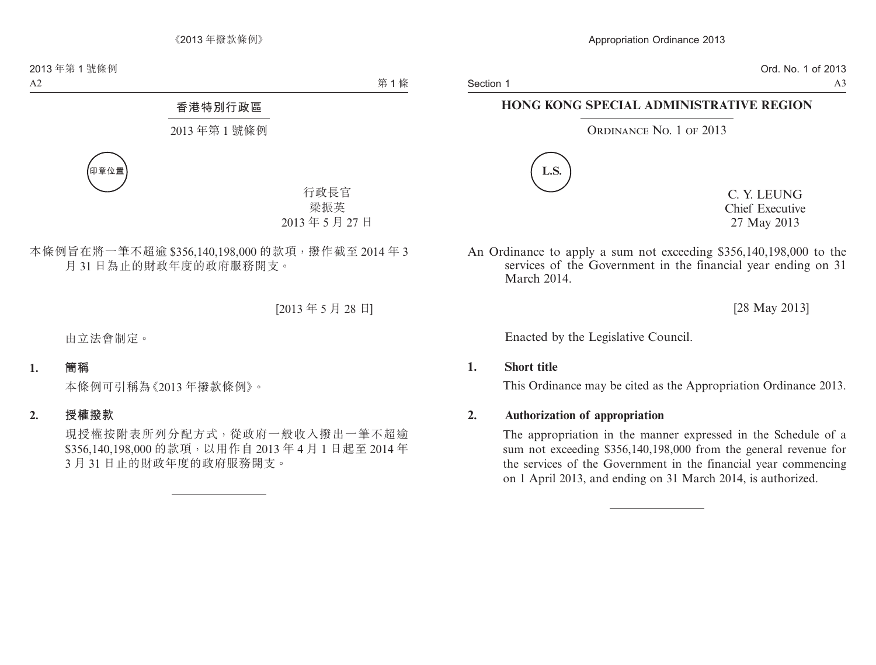Ord. No. 1 of 2013 A3

# **HONG KONG SPECIAL ADMINISTRATIVE REGION**

#### ORDINANCE NO. 1 OF 2013



C. Y. LEUNG Chief Executive 27 May 2013

An Ordinance to apply a sum not exceeding \$356,140,198,000 to the services of the Government in the financial year ending on 31 March 2014.

[28 May 2013]

Enacted by the Legislative Council.

#### **1. Short title**

This Ordinance may be cited as the Appropriation Ordinance 2013.

#### **2. Authorization of appropriation**

The appropriation in the manner expressed in the Schedule of a sum not exceeding \$356,140,198,000 from the general revenue for the services of the Government in the financial year commencing on 1 April 2013, and ending on 31 March 2014, is authorized.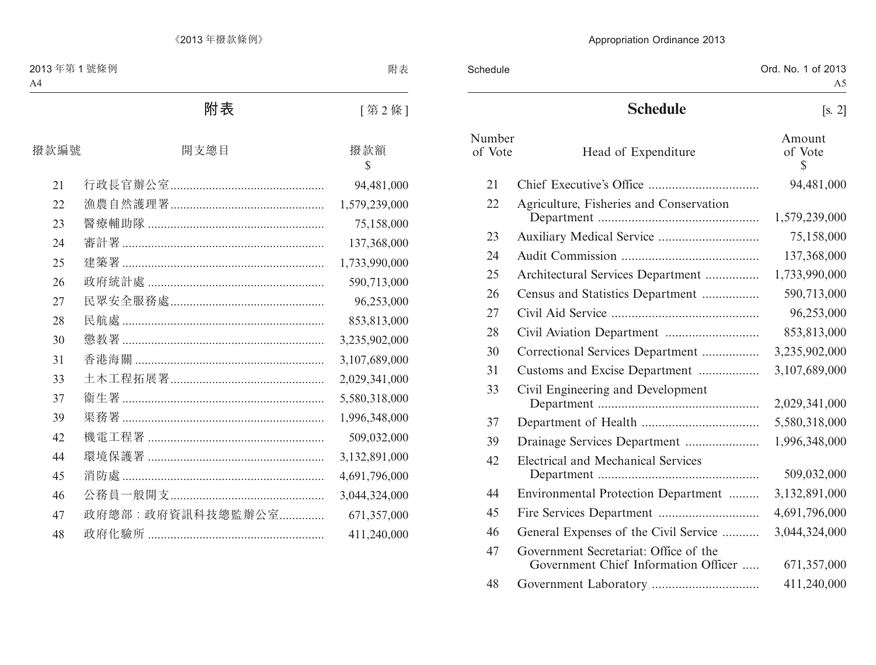| Schedule          |                                                                               | Ord. No. 1 of 2013<br>A5 |
|-------------------|-------------------------------------------------------------------------------|--------------------------|
|                   | <b>Schedule</b>                                                               | [s, 2]                   |
| Number<br>of Vote | Head of Expenditure                                                           | Amount<br>of Vote<br>\$  |
| 21                |                                                                               | 94,481,000               |
| 22                | Agriculture, Fisheries and Conservation                                       | 1,579,239,000            |
| 23                |                                                                               | 75,158,000               |
| 24                |                                                                               | 137,368,000              |
| 25                | Architectural Services Department                                             | 1,733,990,000            |
| 26                | Census and Statistics Department                                              | 590,713,000              |
| 27                |                                                                               | 96,253,000               |
| 28                |                                                                               | 853,813,000              |
| 30                | Correctional Services Department                                              | 3,235,902,000            |
| 31                | Customs and Excise Department                                                 | 3,107,689,000            |
| 33                | Civil Engineering and Development                                             | 2,029,341,000            |
| 37                |                                                                               | 5,580,318,000            |
| 39                |                                                                               | 1,996,348,000            |
| 42                | Electrical and Mechanical Services                                            | 509,032,000              |
| 44                | Environmental Protection Department                                           | 3,132,891,000            |
| 45                |                                                                               | 4,691,796,000            |
| 46                | General Expenses of the Civil Service                                         | 3,044,324,000            |
| 47                | Government Secretariat: Office of the<br>Government Chief Information Officer | 671,357,000              |
| 48                |                                                                               | 411,240,000              |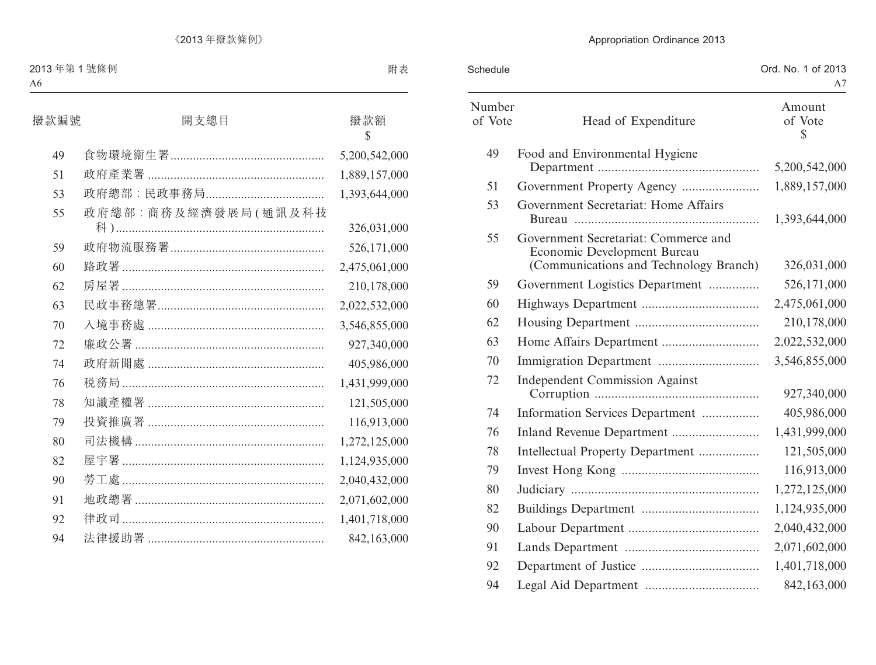| Schedule          |                                                                                                               | Ord. No. 1 of 2013<br>A7 |
|-------------------|---------------------------------------------------------------------------------------------------------------|--------------------------|
| Number<br>of Vote | Head of Expenditure                                                                                           | Amount<br>of Vote<br>\$  |
| 49                | Food and Environmental Hygiene                                                                                | 5,200,542,000            |
| 51                |                                                                                                               | 1,889,157,000            |
| 53                | Government Secretariat: Home Affairs                                                                          | 1,393,644,000            |
| 55                | Government Secretariat: Commerce and<br>Economic Development Bureau<br>(Communications and Technology Branch) | 326,031,000              |
| 59                | Government Logistics Department                                                                               | 526,171,000              |
| 60                |                                                                                                               | 2,475,061,000            |
| 62                |                                                                                                               | 210,178,000              |
| 63                |                                                                                                               | 2,022,532,000            |
| 70                |                                                                                                               | 3,546,855,000            |
| 72                | <b>Independent Commission Against</b>                                                                         | 927,340,000              |
| 74                | Information Services Department                                                                               | 405,986,000              |
| 76                |                                                                                                               | 1,431,999,000            |
| 78                | Intellectual Property Department                                                                              | 121,505,000              |
| 79                |                                                                                                               | 116,913,000              |
| 80                |                                                                                                               | 1,272,125,000            |
| 82                |                                                                                                               | 1,124,935,000            |
| 90                |                                                                                                               | 2,040,432,000            |
| 91                |                                                                                                               | 2,071,602,000            |
| 92                |                                                                                                               | 1,401,718,000            |
| 94                |                                                                                                               | 842,163,000              |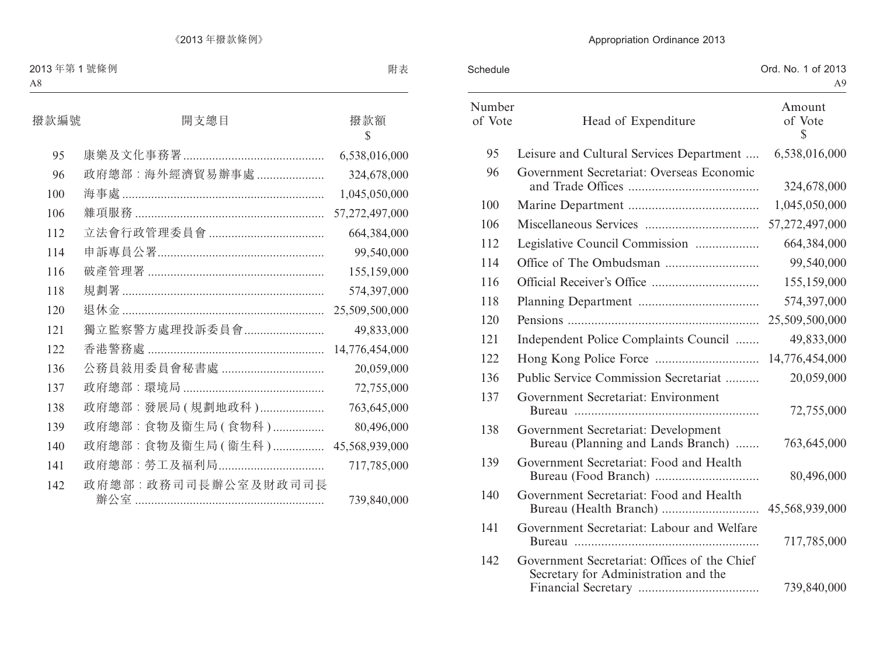| Schedule          |                                                                                      | Ord. No. 1 of 2013<br>A9 |
|-------------------|--------------------------------------------------------------------------------------|--------------------------|
| Number<br>of Vote | Head of Expenditure                                                                  | Amount<br>of Vote<br>S   |
| 95                | Leisure and Cultural Services Department                                             | 6,538,016,000            |
| 96                | Government Secretariat: Overseas Economic                                            | 324,678,000              |
| 100               |                                                                                      | 1,045,050,000            |
| 106               |                                                                                      | 57,272,497,000           |
| 112               | Legislative Council Commission                                                       | 664,384,000              |
| 114               |                                                                                      | 99,540,000               |
| 116               |                                                                                      | 155,159,000              |
| 118               |                                                                                      | 574,397,000              |
| 120               |                                                                                      | 25,509,500,000           |
| 121               | Independent Police Complaints Council                                                | 49,833,000               |
| 122               |                                                                                      | 14,776,454,000           |
| 136               | Public Service Commission Secretariat                                                | 20,059,000               |
| 137               | Government Secretariat: Environment                                                  | 72,755,000               |
| 138               | Government Secretariat: Development<br>Bureau (Planning and Lands Branch)            | 763,645,000              |
| 139               | Government Secretariat: Food and Health                                              | 80,496,000               |
| 140               | Government Secretariat: Food and Health                                              | 45,568,939,000           |
| 141               | Government Secretariat: Labour and Welfare                                           | 717,785,000              |
| 142               | Government Secretariat: Offices of the Chief<br>Secretary for Administration and the | 739,840,000              |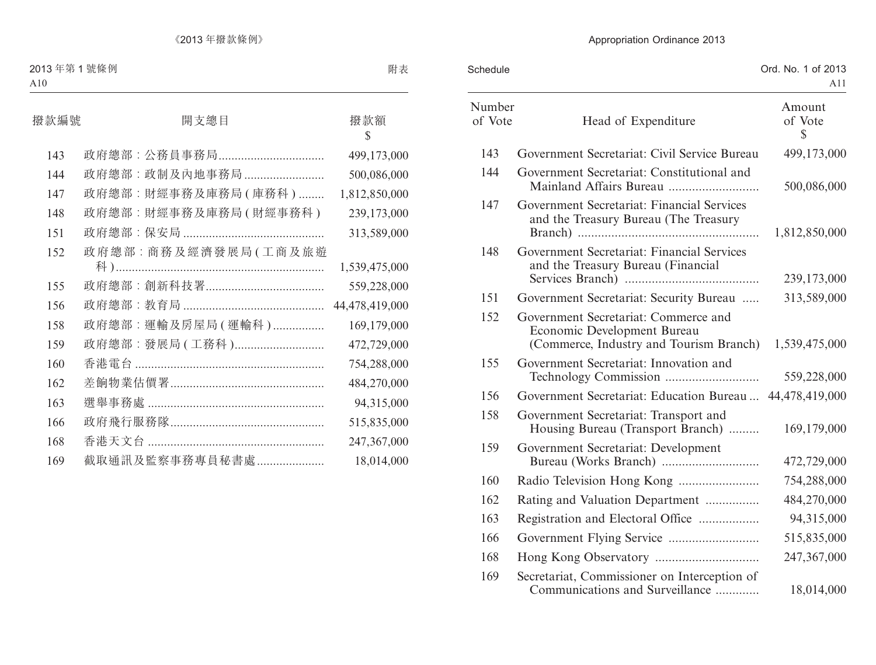| Schedule          |                                                                                                                | Ord. No. 1 of 2013<br>A11 |
|-------------------|----------------------------------------------------------------------------------------------------------------|---------------------------|
| Number<br>of Vote | Head of Expenditure                                                                                            | Amount<br>of Vote<br>\$   |
| 143               | Government Secretariat: Civil Service Bureau                                                                   | 499,173,000               |
| 144               | Government Secretariat: Constitutional and<br>Mainland Affairs Bureau                                          | 500,086,000               |
| 147               | Government Secretariat: Financial Services<br>and the Treasury Bureau (The Treasury                            | 1,812,850,000             |
| 148               | Government Secretariat: Financial Services<br>and the Treasury Bureau (Financial                               | 239,173,000               |
| 151               | Government Secretariat: Security Bureau                                                                        | 313,589,000               |
| 152               | Government Secretariat: Commerce and<br>Economic Development Bureau<br>(Commerce, Industry and Tourism Branch) | 1,539,475,000             |
| 155               | Government Secretariat: Innovation and                                                                         | 559,228,000               |
| 156               | Government Secretariat: Education Bureau                                                                       | 44,478,419,000            |
| 158               | Government Secretariat: Transport and<br>Housing Bureau (Transport Branch)                                     | 169,179,000               |
| 159               | Government Secretariat: Development                                                                            | 472,729,000               |
| 160               | Radio Television Hong Kong                                                                                     | 754,288,000               |
| 162               | Rating and Valuation Department                                                                                | 484,270,000               |
| 163               | Registration and Electoral Office                                                                              | 94,315,000                |
| 166               |                                                                                                                | 515,835,000               |
| 168               |                                                                                                                | 247,367,000               |
| 169               | Secretariat, Commissioner on Interception of<br>Communications and Surveillance                                | 18,014,000                |